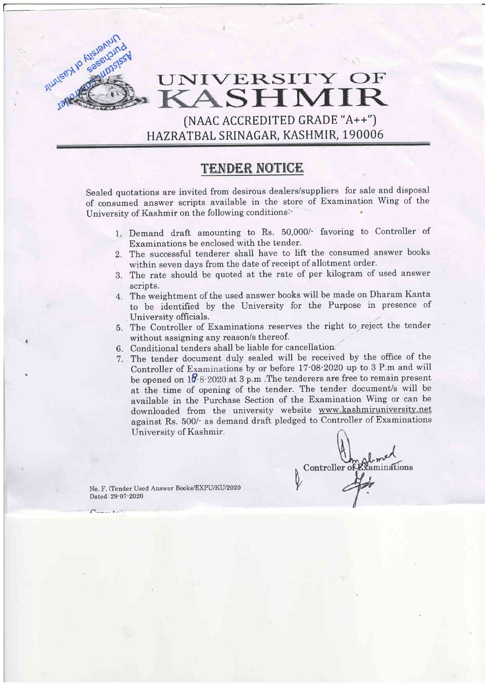## UNIVERSITY OF KASHMIR

 $[NAAC$   $ACCREDITED$   $GRADE$   $A++$ ") HAZRATBAL SRINAGAR, KASHMIR, 190006

## TENDER NOTICE

Sealed quotations are invited from desirous dealers/suppliers for sale and disposal of consumed answer scripts available in the store of Examination Wing of the University of Kashmir on the following conditions:' '

- 1. Demand draft amounting to Rs. 50,000/- favoring to Controller of Examinations be enclosed with the tender.
- Z. The successful tenderer shall have to lift the consumed answer books within seven days from the date of receipt of allotment order.
- 3. The rate should be quoted at the rate of per kilogram of used answer scripts.
- 4. The weightment of the used answer books wiII be made on Dharam Kanta to be identified by the University for the Purpose in presence of University officials.
- 5. The Controller of Examinations reserves the right to reject the tender without assigning any reason/s thereof.
- 6. Conditional tenders shall be liable for cancellation
- 7. The tender document duly sealed will be received by the office of the Controller of Examinations by or before  $17$ -08-2020 up to 3 P.m and will be opened on  $10.8 \cdot 2020$  at 3 p.m. The tenderers are free to remain present at the time of opening of the tender. The tender document/s will be available in the Purchase Section of the Examination Wing or can be downloaded from the university website www.kashmiruniversity.net against Rs. 500/- as demand draft pledged to Controller of Examinations University of Kashmir.

Controller<sup>c</sup> inations

No. F. (Tender Used Answer Books/EXPU/KU/2020 Dated: 29-07-2020

 $\mathcal{F}_{\mathbf{a} \mathbf{m} \mathbf{a} \mathbf{r}}$  then

I

Allumer Alexandrich

**Alsieniund**